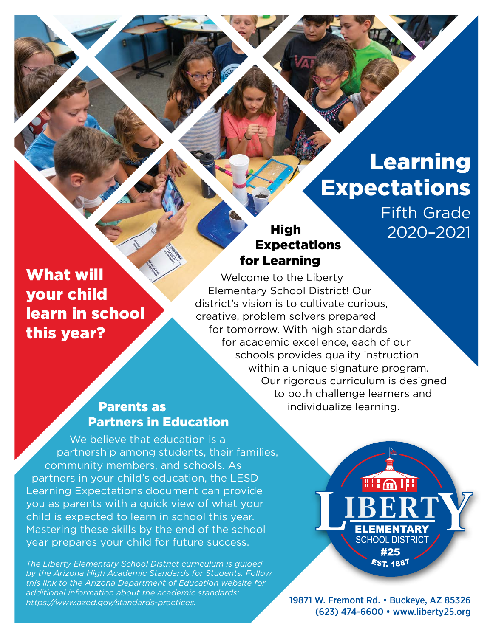# Learning **Expectations**

Fifth Grade 2020–2021

## What will your child learn in school this year?

## High Expectations for Learning

Welcome to the Liberty Elementary School District! Our district's vision is to cultivate curious, creative, problem solvers prepared for tomorrow. With high standards for academic excellence, each of our schools provides quality instruction within a unique signature program. Our rigorous curriculum is designed to both challenge learners and individualize learning.

## Parents as Partners in Education

We believe that education is a partnership among students, their families, community members, and schools. As partners in your child's education, the LESD Learning Expectations document can provide you as parents with a quick view of what your child is expected to learn in school this year. Mastering these skills by the end of the school year prepares your child for future success.

*The Liberty Elementary School District curriculum is guided by the Arizona High Academic Standards for Students. Follow this link to the Arizona Department of Education website for additional information about the academic standards: [https://www.azed.gov/standards-practices.](https://www.azed.gov/standards-practices)*

**FILA III ELEMENTARY SCHOOL DISTRICT** #25 **EST. 1887** 

19871 W. Fremont Rd. • Buckeye, AZ 85326 (623) 474-6600 • [www.liberty25.org](http://www.liberty25.org)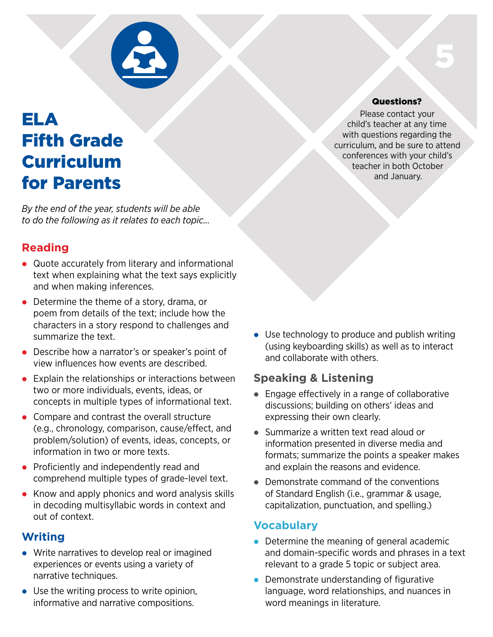

## ELA Fifth Grade Curriculum for Parents

*By the end of the year, students will be able to do the following as it relates to each topic…*

## **Reading**

- Quote accurately from literary and informational text when explaining what the text says explicitly and when making inferences.
- Determine the theme of a story, drama, or poem from details of the text; include how the characters in a story respond to challenges and summarize the text.
- Describe how a narrator's or speaker's point of view influences how events are described.
- $\bullet$  Explain the relationships or interactions between two or more individuals, events, ideas, or concepts in multiple types of informational text.
- Compare and contrast the overall structure (e.g., chronology, comparison, cause/effect, and problem/solution) of events, ideas, concepts, or information in two or more texts.
- Proficiently and independently read and comprehend multiple types of grade-level text.
- $\bullet$  Know and apply phonics and word analysis skills in decoding multisyllabic words in context and out of context.

## **Writing**

- Write narratives to develop real or imagined experiences or events using a variety of narrative techniques.
- $\bullet$  Use the writing process to write opinion, informative and narrative compositions.

 $\bullet$  Use technology to produce and publish writing (using keyboarding skills) as well as to interact and collaborate with others.

## **Speaking & Listening**

- $\bullet$  Engage effectively in a range of collaborative discussions; building on others' ideas and expressing their own clearly.
- Summarize a written text read aloud or information presented in diverse media and formats; summarize the points a speaker makes and explain the reasons and evidence.
- $\bullet$  Demonstrate command of the conventions of Standard English (i.e., grammar & usage, capitalization, punctuation, and spelling.)

## **Vocabulary**

- $\bullet$  Determine the meaning of general academic and domain-specific words and phrases in a text relevant to a grade 5 topic or subject area.
- $\bullet$  Demonstrate understanding of figurative language, word relationships, and nuances in word meanings in literature.

#### Questions?

5

Please contact your child's teacher at any time with questions regarding the curriculum, and be sure to attend conferences with your child's teacher in both October and January.